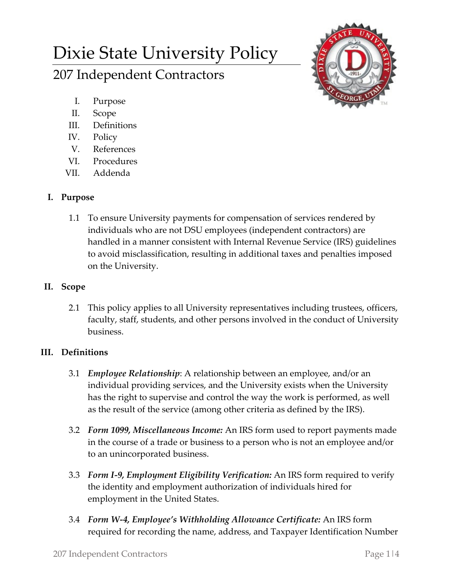# Dixie State University Policy 207 Independent Contractors



- I. Purpose
- II. Scope
- III. Definitions
- IV. Policy
- V. References
- VI. Procedures
- VII. Addenda

## **I. Purpose**

1.1 To ensure University payments for compensation of services rendered by individuals who are not DSU employees (independent contractors) are handled in a manner consistent with Internal Revenue Service (IRS) guidelines to avoid misclassification, resulting in additional taxes and penalties imposed on the University.

## **II. Scope**

2.1 This policy applies to all University representatives including trustees, officers, faculty, staff, students, and other persons involved in the conduct of University business.

## **III. Definitions**

- 3.1 *Employee Relationship*: A relationship between an employee, and/or an individual providing services, and the University exists when the University has the right to supervise and control the way the work is performed, as well as the result of the service (among other criteria as defined by the IRS).
- 3.2 *Form 1099, Miscellaneous Income:* An IRS form used to report payments made in the course of a trade or business to a person who is not an employee and/or to an unincorporated business.
- 3.3 *Form I-9, Employment Eligibility Verification:* An IRS form required to verify the identity and employment authorization of individuals hired for employment in the United States.
- 3.4 *Form W-4, Employee's Withholding Allowance Certificate:* An IRS form required for recording the name, address, and Taxpayer Identification Number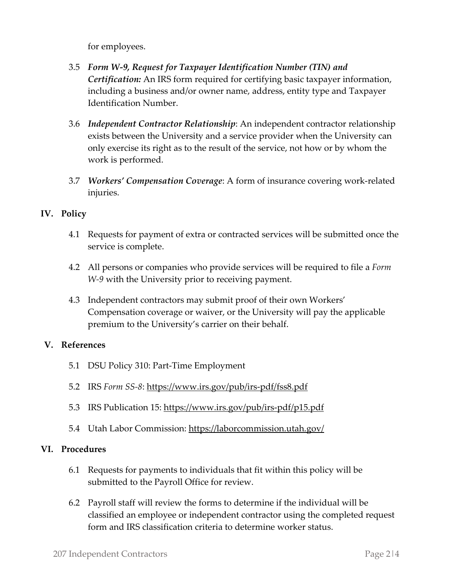for employees.

- 3.5 *Form W-9, Request for Taxpayer Identification Number (TIN) and Certification:* An IRS form required for certifying basic taxpayer information, including a business and/or owner name, address, entity type and Taxpayer Identification Number.
- 3.6 *Independent Contractor Relationship*: An independent contractor relationship exists between the University and a service provider when the University can only exercise its right as to the result of the service, not how or by whom the work is performed.
- 3.7 *Workers' Compensation Coverage*: A form of insurance covering work-related injuries.

#### **IV. Policy**

- 4.1 Requests for payment of extra or contracted services will be submitted once the service is complete.
- 4.2 All persons or companies who provide services will be required to file a *Form W-9* with the University prior to receiving payment.
- 4.3 Independent contractors may submit proof of their own Workers' Compensation coverage or waiver, or the University will pay the applicable premium to the University's carrier on their behalf.

#### **V. References**

- 5.1 DSU Policy 310: Part-Time Employment
- 5.2 IRS *Form SS-8*:<https://www.irs.gov/pub/irs-pdf/fss8.pdf>
- 5.3 IRS Publication 15:<https://www.irs.gov/pub/irs-pdf/p15.pdf>
- 5.4 Utah Labor Commission:<https://laborcommission.utah.gov/>

#### **VI. Procedures**

- 6.1 Requests for payments to individuals that fit within this policy will be submitted to the Payroll Office for review.
- 6.2 Payroll staff will review the forms to determine if the individual will be classified an employee or independent contractor using the completed request form and IRS classification criteria to determine worker status.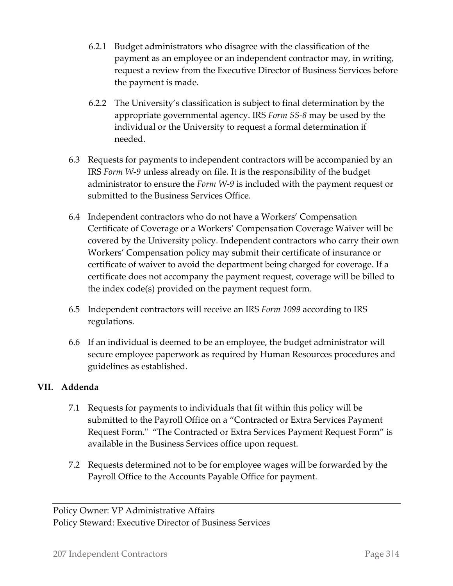- 6.2.1 Budget administrators who disagree with the classification of the payment as an employee or an independent contractor may, in writing, request a review from the Executive Director of Business Services before the payment is made.
- 6.2.2 The University's classification is subject to final determination by the appropriate governmental agency. IRS *Form SS-8* may be used by the individual or the University to request a formal determination if needed.
- 6.3 Requests for payments to independent contractors will be accompanied by an IRS *Form W-9* unless already on file. It is the responsibility of the budget administrator to ensure the *Form W-9* is included with the payment request or submitted to the Business Services Office.
- 6.4 Independent contractors who do not have a Workers' Compensation Certificate of Coverage or a Workers' Compensation Coverage Waiver will be covered by the University policy. Independent contractors who carry their own Workers' Compensation policy may submit their certificate of insurance or certificate of waiver to avoid the department being charged for coverage. If a certificate does not accompany the payment request, coverage will be billed to the index code(s) provided on the payment request form.
- 6.5 Independent contractors will receive an IRS *Form 1099* according to IRS regulations.
- 6.6 If an individual is deemed to be an employee, the budget administrator will secure employee paperwork as required by Human Resources procedures and guidelines as established.

### **VII. Addenda**

- 7.1 Requests for payments to individuals that fit within this policy will be submitted to the Payroll Office on a "Contracted or Extra Services Payment Request Form." "The Contracted or Extra Services Payment Request Form" is available in the Business Services office upon request.
- 7.2 Requests determined not to be for employee wages will be forwarded by the Payroll Office to the Accounts Payable Office for payment.